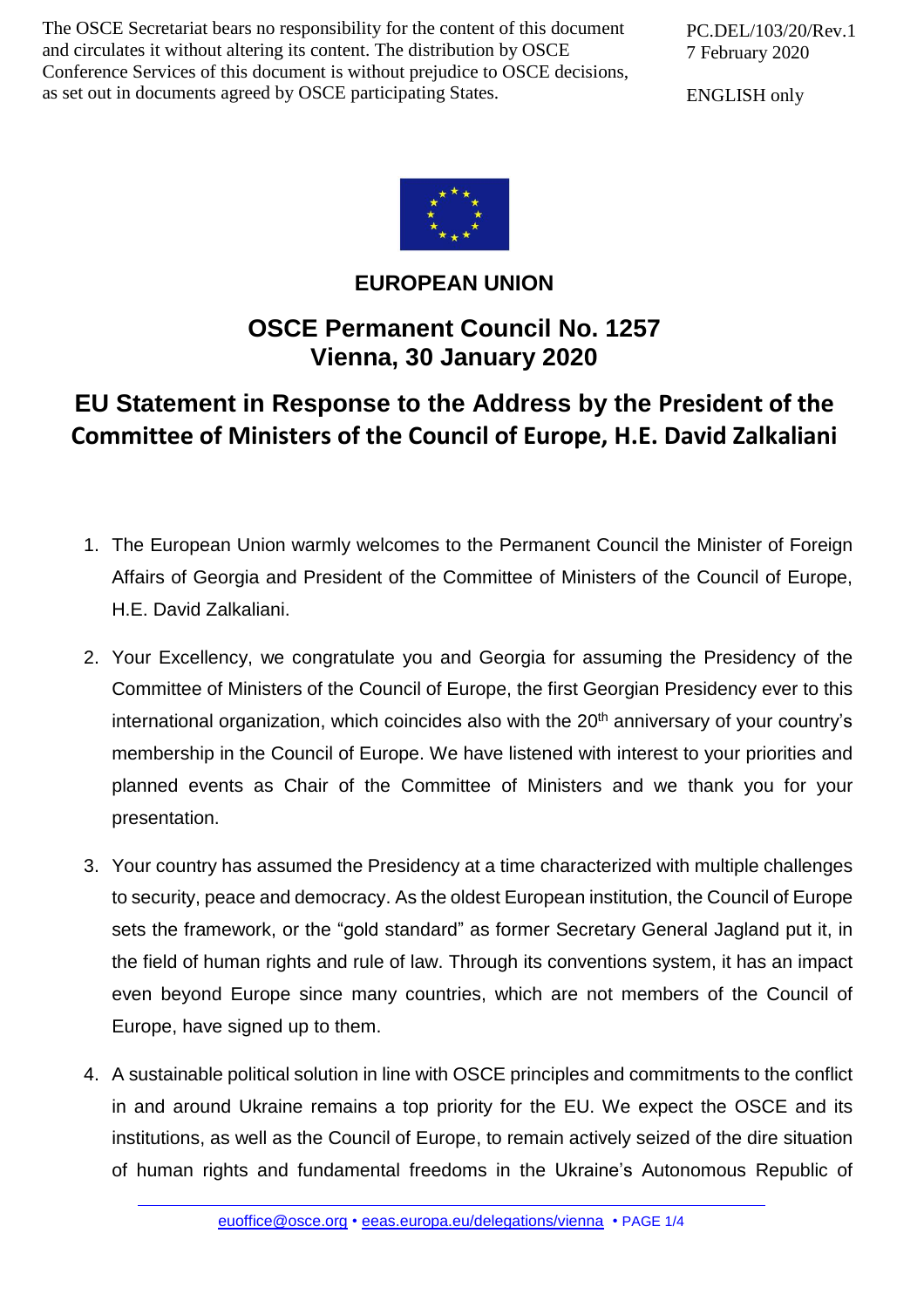The OSCE Secretariat bears no responsibility for the content of this document and circulates it without altering its content. The distribution by OSCE Conference Services of this document is without prejudice to OSCE decisions, as set out in documents agreed by OSCE participating States.

PC.DEL/103/20/Rev.1 7 February 2020

ENGLISH only



## **EUROPEAN UNION**

## **OSCE Permanent Council No. 1257 Vienna, 30 January 2020**

## **EU Statement in Response to the Address by the President of the Committee of Ministers of the Council of Europe, H.E. David Zalkaliani**

- 1. The European Union warmly welcomes to the Permanent Council the Minister of Foreign Affairs of Georgia and President of the Committee of Ministers of the Council of Europe, H.E. David Zalkaliani.
- 2. Your Excellency, we congratulate you and Georgia for assuming the Presidency of the Committee of Ministers of the Council of Europe, the first Georgian Presidency ever to this international organization, which coincides also with the 20<sup>th</sup> anniversary of your country's membership in the Council of Europe. We have listened with interest to your priorities and planned events as Chair of the Committee of Ministers and we thank you for your presentation.
- 3. Your country has assumed the Presidency at a time characterized with multiple challenges to security, peace and democracy. As the oldest European institution, the Council of Europe sets the framework, or the "gold standard" as former Secretary General Jagland put it, in the field of human rights and rule of law. Through its conventions system, it has an impact even beyond Europe since many countries, which are not members of the Council of Europe, have signed up to them.
- 4. A sustainable political solution in line with OSCE principles and commitments to the conflict in and around Ukraine remains a top priority for the EU. We expect the OSCE and its institutions, as well as the Council of Europe, to remain actively seized of the dire situation of human rights and fundamental freedoms in the Ukraine's Autonomous Republic of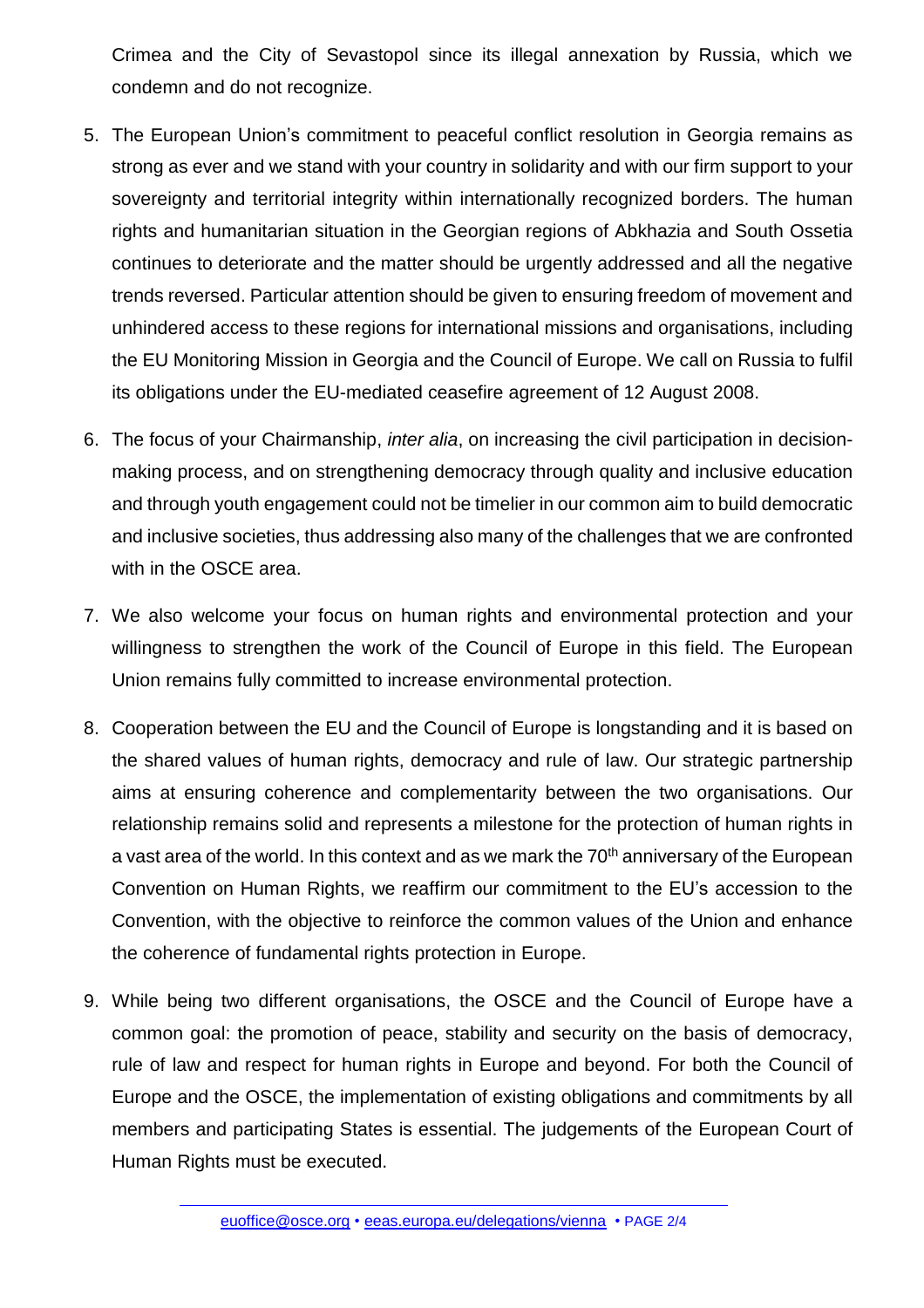Crimea and the City of Sevastopol since its illegal annexation by Russia, which we condemn and do not recognize.

- 5. The European Union's commitment to peaceful conflict resolution in Georgia remains as strong as ever and we stand with your country in solidarity and with our firm support to your sovereignty and territorial integrity within internationally recognized borders. The human rights and humanitarian situation in the Georgian regions of Abkhazia and South Ossetia continues to deteriorate and the matter should be urgently addressed and all the negative trends reversed. Particular attention should be given to ensuring freedom of movement and unhindered access to these regions for international missions and organisations, including the EU Monitoring Mission in Georgia and the Council of Europe. We call on Russia to fulfil its obligations under the EU-mediated ceasefire agreement of 12 August 2008.
- 6. The focus of your Chairmanship, *inter alia*, on increasing the civil participation in decisionmaking process, and on strengthening democracy through quality and inclusive education and through youth engagement could not be timelier in our common aim to build democratic and inclusive societies, thus addressing also many of the challenges that we are confronted with in the OSCE area.
- 7. We also welcome your focus on human rights and environmental protection and your willingness to strengthen the work of the Council of Europe in this field. The European Union remains fully committed to increase environmental protection.
- 8. Cooperation between the EU and the Council of Europe is longstanding and it is based on the shared values of human rights, democracy and rule of law. Our strategic partnership aims at ensuring coherence and complementarity between the two organisations. Our relationship remains solid and represents a milestone for the protection of human rights in a vast area of the world. In this context and as we mark the 70<sup>th</sup> anniversary of the European Convention on Human Rights, we reaffirm our commitment to the EU's accession to the Convention, with the objective to reinforce the common values of the Union and enhance the coherence of fundamental rights protection in Europe.
- 9. While being two different organisations, the OSCE and the Council of Europe have a common goal: the promotion of peace, stability and security on the basis of democracy, rule of law and respect for human rights in Europe and beyond. For both the Council of Europe and the OSCE, the implementation of existing obligations and commitments by all members and participating States is essential. The judgements of the European Court of Human Rights must be executed.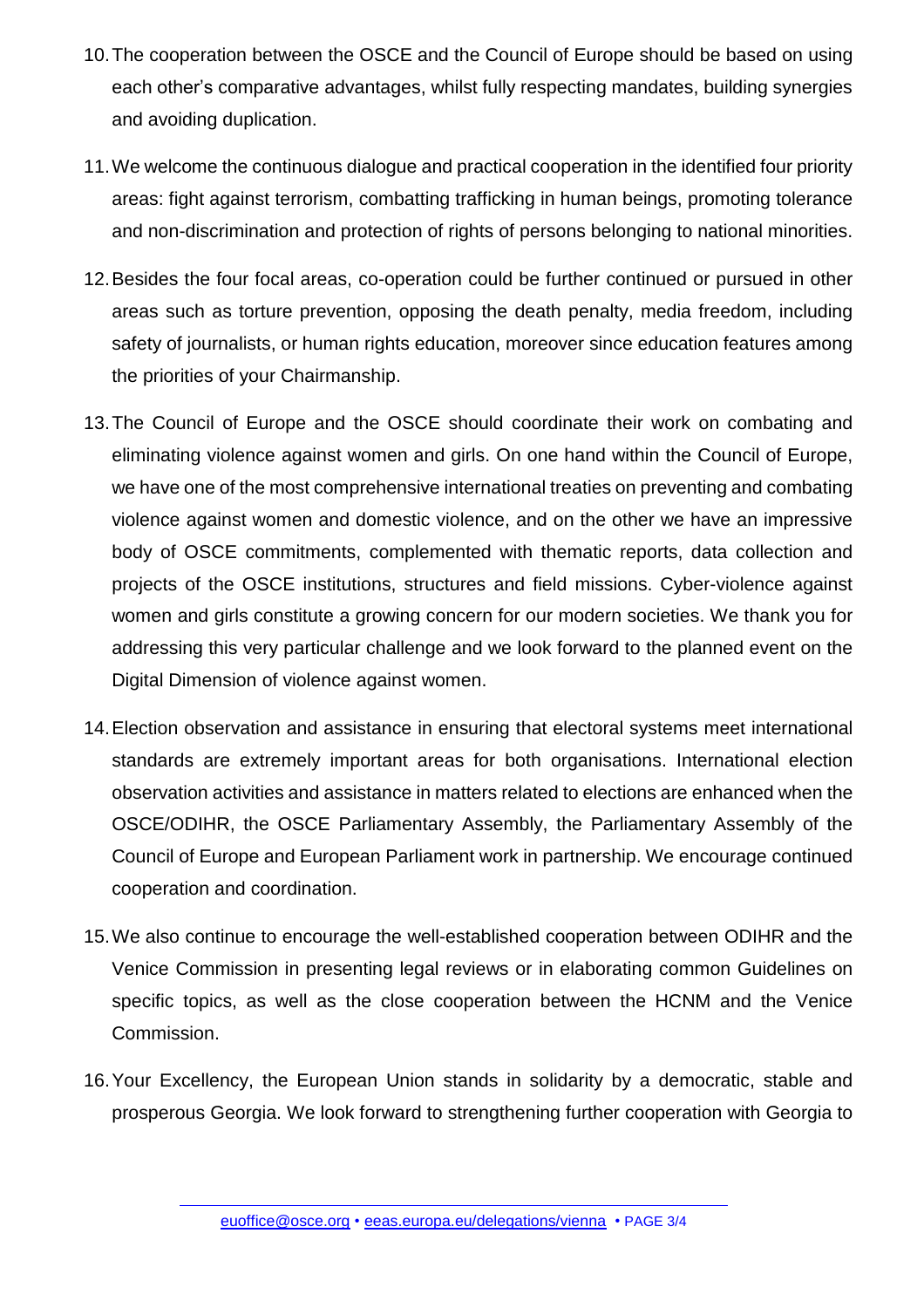- 10.The cooperation between the OSCE and the Council of Europe should be based on using each other's comparative advantages, whilst fully respecting mandates, building synergies and avoiding duplication.
- 11.We welcome the continuous dialogue and practical cooperation in the identified four priority areas: fight against terrorism, combatting trafficking in human beings, promoting tolerance and non-discrimination and protection of rights of persons belonging to national minorities.
- 12.Besides the four focal areas, co-operation could be further continued or pursued in other areas such as torture prevention, opposing the death penalty, media freedom, including safety of journalists, or human rights education, moreover since education features among the priorities of your Chairmanship.
- 13.The Council of Europe and the OSCE should coordinate their work on combating and eliminating violence against women and girls. On one hand within the Council of Europe, we have one of the most comprehensive international treaties on preventing and combating violence against women and domestic violence, and on the other we have an impressive body of OSCE commitments, complemented with thematic reports, data collection and projects of the OSCE institutions, structures and field missions. Cyber-violence against women and girls constitute a growing concern for our modern societies. We thank you for addressing this very particular challenge and we look forward to the planned event on the Digital Dimension of violence against women.
- 14.Election observation and assistance in ensuring that electoral systems meet international standards are extremely important areas for both organisations. International election observation activities and assistance in matters related to elections are enhanced when the OSCE/ODIHR, the OSCE Parliamentary Assembly, the Parliamentary Assembly of the Council of Europe and European Parliament work in partnership. We encourage continued cooperation and coordination.
- 15.We also continue to encourage the well-established cooperation between ODIHR and the Venice Commission in presenting legal reviews or in elaborating common Guidelines on specific topics, as well as the close cooperation between the HCNM and the Venice Commission.
- 16.Your Excellency, the European Union stands in solidarity by a democratic, stable and prosperous Georgia. We look forward to strengthening further cooperation with Georgia to